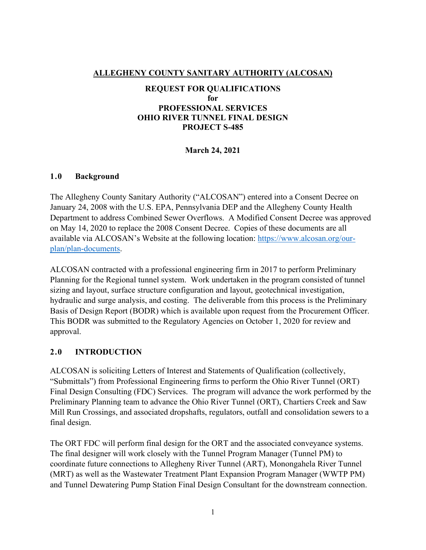## **ALLEGHENY COUNTY SANITARY AUTHORITY (ALCOSAN)**

## **REQUEST FOR QUALIFICATIONS for PROFESSIONAL SERVICES OHIO RIVER TUNNEL FINAL DESIGN PROJECT S-485**

#### **March 24, 2021**

#### **1.0 Background**

The Allegheny County Sanitary Authority ("ALCOSAN") entered into a Consent Decree on January 24, 2008 with the U.S. EPA, Pennsylvania DEP and the Allegheny County Health Department to address Combined Sewer Overflows. A Modified Consent Decree was approved on May 14, 2020 to replace the 2008 Consent Decree. Copies of these documents are all available via ALCOSAN's Website at the following location: [https://www.alcosan.org/our](https://www.alcosan.org/our-plan/plan-documents)[plan/plan-documents.](https://www.alcosan.org/our-plan/plan-documents)

ALCOSAN contracted with a professional engineering firm in 2017 to perform Preliminary Planning for the Regional tunnel system. Work undertaken in the program consisted of tunnel sizing and layout, surface structure configuration and layout, geotechnical investigation, hydraulic and surge analysis, and costing. The deliverable from this process is the Preliminary Basis of Design Report (BODR) which is available upon request from the Procurement Officer. This BODR was submitted to the Regulatory Agencies on October 1, 2020 for review and approval.

#### **2.0 INTRODUCTION**

ALCOSAN is soliciting Letters of Interest and Statements of Qualification (collectively, "Submittals") from Professional Engineering firms to perform the Ohio River Tunnel (ORT) Final Design Consulting (FDC) Services. The program will advance the work performed by the Preliminary Planning team to advance the Ohio River Tunnel (ORT), Chartiers Creek and Saw Mill Run Crossings, and associated dropshafts, regulators, outfall and consolidation sewers to a final design.

The ORT FDC will perform final design for the ORT and the associated conveyance systems. The final designer will work closely with the Tunnel Program Manager (Tunnel PM) to coordinate future connections to Allegheny River Tunnel (ART), Monongahela River Tunnel (MRT) as well as the Wastewater Treatment Plant Expansion Program Manager (WWTP PM) and Tunnel Dewatering Pump Station Final Design Consultant for the downstream connection.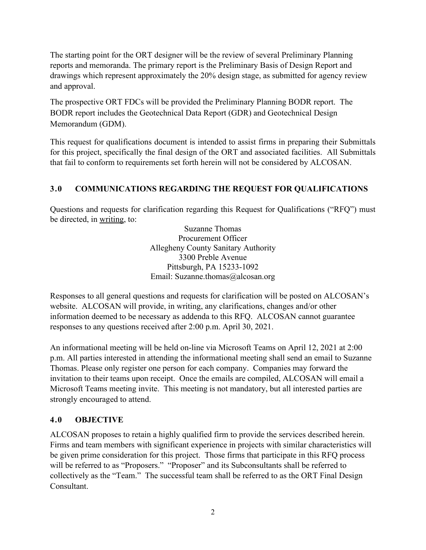The starting point for the ORT designer will be the review of several Preliminary Planning reports and memoranda. The primary report is the Preliminary Basis of Design Report and drawings which represent approximately the 20% design stage, as submitted for agency review and approval.

The prospective ORT FDCs will be provided the Preliminary Planning BODR report. The BODR report includes the Geotechnical Data Report (GDR) and Geotechnical Design Memorandum (GDM).

This request for qualifications document is intended to assist firms in preparing their Submittals for this project, specifically the final design of the ORT and associated facilities. All Submittals that fail to conform to requirements set forth herein will not be considered by ALCOSAN.

# **3.0 COMMUNICATIONS REGARDING THE REQUEST FOR QUALIFICATIONS**

Questions and requests for clarification regarding this Request for Qualifications ("RFQ") must be directed, in writing, to:

> Suzanne Thomas Procurement Officer Allegheny County Sanitary Authority 3300 Preble Avenue Pittsburgh, PA 15233-1092 Email: Suzanne.thomas@alcosan.org

Responses to all general questions and requests for clarification will be posted on ALCOSAN's website. ALCOSAN will provide, in writing, any clarifications, changes and/or other information deemed to be necessary as addenda to this RFQ. ALCOSAN cannot guarantee responses to any questions received after 2:00 p.m. April 30, 2021.

An informational meeting will be held on-line via Microsoft Teams on April 12, 2021 at 2:00 p.m. All parties interested in attending the informational meeting shall send an email to Suzanne Thomas. Please only register one person for each company. Companies may forward the invitation to their teams upon receipt. Once the emails are compiled, ALCOSAN will email a Microsoft Teams meeting invite. This meeting is not mandatory, but all interested parties are strongly encouraged to attend.

## **4.0 OBJECTIVE**

ALCOSAN proposes to retain a highly qualified firm to provide the services described herein. Firms and team members with significant experience in projects with similar characteristics will be given prime consideration for this project. Those firms that participate in this RFQ process will be referred to as "Proposers." "Proposer" and its Subconsultants shall be referred to collectively as the "Team." The successful team shall be referred to as the ORT Final Design Consultant.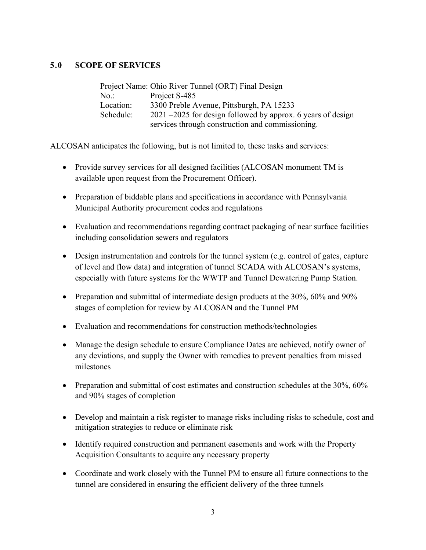## **5.0 SCOPE OF SERVICES**

|           | Project Name: Ohio River Tunnel (ORT) Final Design             |
|-----------|----------------------------------------------------------------|
| $No.$ :   | Project S-485                                                  |
| Location: | 3300 Preble Avenue, Pittsburgh, PA 15233                       |
| Schedule: | $2021 - 2025$ for design followed by approx. 6 years of design |
|           | services through construction and commissioning.               |

ALCOSAN anticipates the following, but is not limited to, these tasks and services:

- Provide survey services for all designed facilities (ALCOSAN monument TM is available upon request from the Procurement Officer).
- Preparation of biddable plans and specifications in accordance with Pennsylvania Municipal Authority procurement codes and regulations
- Evaluation and recommendations regarding contract packaging of near surface facilities including consolidation sewers and regulators
- Design instrumentation and controls for the tunnel system (e.g. control of gates, capture of level and flow data) and integration of tunnel SCADA with ALCOSAN's systems, especially with future systems for the WWTP and Tunnel Dewatering Pump Station.
- Preparation and submittal of intermediate design products at the 30%, 60% and 90% stages of completion for review by ALCOSAN and the Tunnel PM
- Evaluation and recommendations for construction methods/technologies
- Manage the design schedule to ensure Compliance Dates are achieved, notify owner of any deviations, and supply the Owner with remedies to prevent penalties from missed milestones
- Preparation and submittal of cost estimates and construction schedules at the 30%, 60% and 90% stages of completion
- Develop and maintain a risk register to manage risks including risks to schedule, cost and mitigation strategies to reduce or eliminate risk
- Identify required construction and permanent easements and work with the Property Acquisition Consultants to acquire any necessary property
- Coordinate and work closely with the Tunnel PM to ensure all future connections to the tunnel are considered in ensuring the efficient delivery of the three tunnels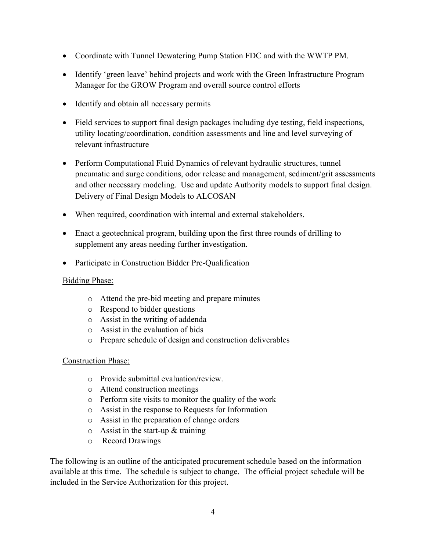- Coordinate with Tunnel Dewatering Pump Station FDC and with the WWTP PM.
- Identify 'green leave' behind projects and work with the Green Infrastructure Program Manager for the GROW Program and overall source control efforts
- Identify and obtain all necessary permits
- Field services to support final design packages including dye testing, field inspections, utility locating/coordination, condition assessments and line and level surveying of relevant infrastructure
- Perform Computational Fluid Dynamics of relevant hydraulic structures, tunnel pneumatic and surge conditions, odor release and management, sediment/grit assessments and other necessary modeling. Use and update Authority models to support final design. Delivery of Final Design Models to ALCOSAN
- When required, coordination with internal and external stakeholders.
- Enact a geotechnical program, building upon the first three rounds of drilling to supplement any areas needing further investigation.
- Participate in Construction Bidder Pre-Qualification

## Bidding Phase:

- o Attend the pre-bid meeting and prepare minutes
- o Respond to bidder questions
- o Assist in the writing of addenda
- o Assist in the evaluation of bids
- o Prepare schedule of design and construction deliverables

## Construction Phase:

- o Provide submittal evaluation/review.
- o Attend construction meetings
- o Perform site visits to monitor the quality of the work
- o Assist in the response to Requests for Information
- o Assist in the preparation of change orders
- $\circ$  Assist in the start-up & training
- o Record Drawings

The following is an outline of the anticipated procurement schedule based on the information available at this time. The schedule is subject to change. The official project schedule will be included in the Service Authorization for this project.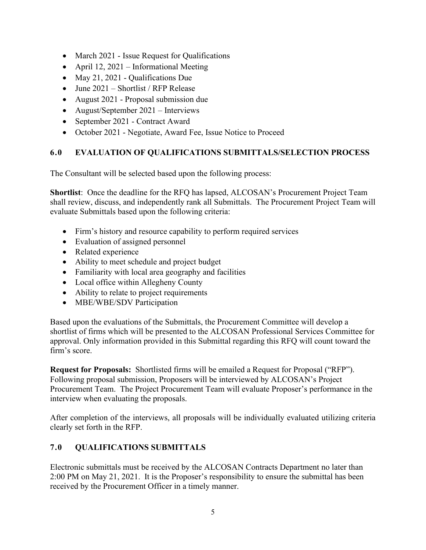- March 2021 Issue Request for Qualifications
- April 12, 2021 Informational Meeting
- May 21, 2021 Qualifications Due
- June 2021 Shortlist / RFP Release
- August 2021 Proposal submission due
- August/September 2021 Interviews
- September 2021 Contract Award
- October 2021 Negotiate, Award Fee, Issue Notice to Proceed

## **6.0 EVALUATION OF QUALIFICATIONS SUBMITTALS/SELECTION PROCESS**

The Consultant will be selected based upon the following process:

**Shortlist**: Once the deadline for the RFQ has lapsed, ALCOSAN's Procurement Project Team shall review, discuss, and independently rank all Submittals. The Procurement Project Team will evaluate Submittals based upon the following criteria:

- Firm's history and resource capability to perform required services
- Evaluation of assigned personnel
- Related experience
- Ability to meet schedule and project budget
- Familiarity with local area geography and facilities
- Local office within Allegheny County
- Ability to relate to project requirements
- MBE/WBE/SDV Participation

Based upon the evaluations of the Submittals, the Procurement Committee will develop a shortlist of firms which will be presented to the ALCOSAN Professional Services Committee for approval. Only information provided in this Submittal regarding this RFQ will count toward the firm's score.

**Request for Proposals:** Shortlisted firms will be emailed a Request for Proposal ("RFP"). Following proposal submission, Proposers will be interviewed by ALCOSAN's Project Procurement Team. The Project Procurement Team will evaluate Proposer's performance in the interview when evaluating the proposals.

After completion of the interviews, all proposals will be individually evaluated utilizing criteria clearly set forth in the RFP.

## **7.0 QUALIFICATIONS SUBMITTALS**

Electronic submittals must be received by the ALCOSAN Contracts Department no later than 2:00 PM on May 21, 2021. It is the Proposer's responsibility to ensure the submittal has been received by the Procurement Officer in a timely manner.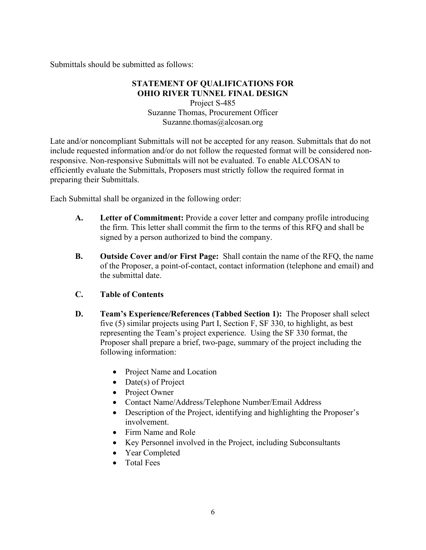Submittals should be submitted as follows:

## **STATEMENT OF QUALIFICATIONS FOR OHIO RIVER TUNNEL FINAL DESIGN**

Project S-485 Suzanne Thomas, Procurement Officer Suzanne.thomas@alcosan.org

Late and/or noncompliant Submittals will not be accepted for any reason. Submittals that do not include requested information and/or do not follow the requested format will be considered nonresponsive. Non-responsive Submittals will not be evaluated. To enable ALCOSAN to efficiently evaluate the Submittals, Proposers must strictly follow the required format in preparing their Submittals.

Each Submittal shall be organized in the following order:

- **A. Letter of Commitment:** Provide a cover letter and company profile introducing the firm. This letter shall commit the firm to the terms of this RFQ and shall be signed by a person authorized to bind the company.
- **B. Outside Cover and/or First Page:** Shall contain the name of the RFQ, the name of the Proposer, a point-of-contact, contact information (telephone and email) and the submittal date.
- **C. Table of Contents**
- **D. Team's Experience/References (Tabbed Section 1):** The Proposer shall select five (5) similar projects using Part I, Section F, SF 330, to highlight, as best representing the Team's project experience. Using the SF 330 format, the Proposer shall prepare a brief, two-page, summary of the project including the following information:
	- Project Name and Location
	- Date(s) of Project
	- Project Owner
	- Contact Name/Address/Telephone Number/Email Address
	- Description of the Project, identifying and highlighting the Proposer's involvement.
	- Firm Name and Role
	- Key Personnel involved in the Project, including Subconsultants
	- Year Completed
	- Total Fees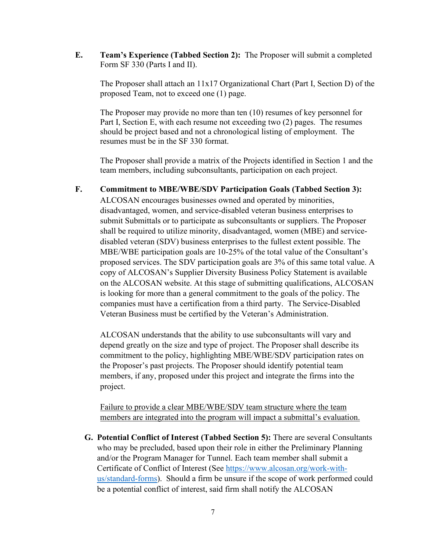**E. Team's Experience (Tabbed Section 2):** The Proposer will submit a completed Form SF 330 (Parts I and II).

The Proposer shall attach an 11x17 Organizational Chart (Part I, Section D) of the proposed Team, not to exceed one (1) page.

The Proposer may provide no more than ten (10) resumes of key personnel for Part I, Section E, with each resume not exceeding two (2) pages. The resumes should be project based and not a chronological listing of employment. The resumes must be in the SF 330 format.

The Proposer shall provide a matrix of the Projects identified in Section 1 and the team members, including subconsultants, participation on each project.

### **F. Commitment to MBE/WBE/SDV Participation Goals (Tabbed Section 3):**

ALCOSAN encourages businesses owned and operated by minorities, disadvantaged, women, and service-disabled veteran business enterprises to submit Submittals or to participate as subconsultants or suppliers. The Proposer shall be required to utilize minority, disadvantaged, women (MBE) and servicedisabled veteran (SDV) business enterprises to the fullest extent possible. The MBE/WBE participation goals are 10-25% of the total value of the Consultant's proposed services. The SDV participation goals are 3% of this same total value. A copy of ALCOSAN's Supplier Diversity Business Policy Statement is available on the ALCOSAN website. At this stage of submitting qualifications, ALCOSAN is looking for more than a general commitment to the goals of the policy. The companies must have a certification from a third party. The Service-Disabled Veteran Business must be certified by the Veteran's Administration.

ALCOSAN understands that the ability to use subconsultants will vary and depend greatly on the size and type of project. The Proposer shall describe its commitment to the policy, highlighting MBE/WBE/SDV participation rates on the Proposer's past projects. The Proposer should identify potential team members, if any, proposed under this project and integrate the firms into the project.

Failure to provide a clear MBE/WBE/SDV team structure where the team members are integrated into the program will impact a submittal's evaluation.

**G. Potential Conflict of Interest (Tabbed Section 5):** There are several Consultants who may be precluded, based upon their role in either the Preliminary Planning and/or the Program Manager for Tunnel. Each team member shall submit a Certificate of Conflict of Interest (See [https://www.alcosan.org/work-with](https://www.alcosan.org/work-with-us/standard-forms)[us/standard-forms\)](https://www.alcosan.org/work-with-us/standard-forms). Should a firm be unsure if the scope of work performed could be a potential conflict of interest, said firm shall notify the ALCOSAN